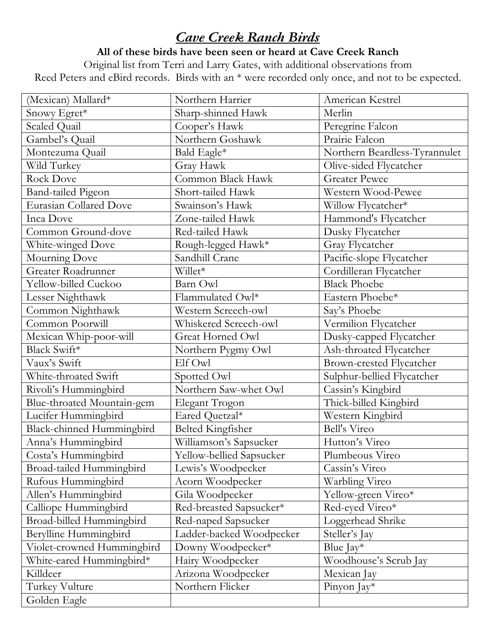## *Cave Creek Ranch Birds*

**All of these birds have been seen or heard at Cave Creek Ranch**

Original list from Terri and Larry Gates, with additional observations from Reed Peters and eBird records. Birds with an \* were recorded only once, and not to be expected.

| (Mexican) Mallard*            | Northern Harrier         | American Kestrel              |
|-------------------------------|--------------------------|-------------------------------|
| Snowy Egret*                  | Sharp-shinned Hawk       | Merlin                        |
| Scaled Quail                  | Cooper's Hawk            | Peregrine Falcon              |
| Gambel's Quail                | Northern Goshawk         | Prairie Falcon                |
| Montezuma Quail               | Bald Eagle*              | Northern Beardless-Tyrannulet |
| Wild Turkey                   | Gray Hawk                | Olive-sided Flycatcher        |
| <b>Rock Dove</b>              | Common Black Hawk        | <b>Greater Pewee</b>          |
| <b>Band-tailed Pigeon</b>     | Short-tailed Hawk        | Western Wood-Pewee            |
| <b>Eurasian Collared Dove</b> | Swainson's Hawk          | Willow Flycatcher*            |
| Inca Dove                     | Zone-tailed Hawk         | Hammond's Flycatcher          |
| Common Ground-dove            | Red-tailed Hawk          | Dusky Flycatcher              |
| White-winged Dove             | Rough-legged Hawk*       | Gray Flycatcher               |
| Mourning Dove                 | Sandhill Crane           | Pacific-slope Flycatcher      |
| Greater Roadrunner            | Willet*                  | Cordilleran Flycatcher        |
| Yellow-billed Cuckoo          | Barn Owl                 | <b>Black Phoebe</b>           |
| Lesser Nighthawk              | Flammulated Owl*         | Eastern Phoebe*               |
| Common Nighthawk              | Western Screech-owl      | Say's Phoebe                  |
| Common Poorwill               | Whiskered Screech-owl    | Vermilion Flycatcher          |
| Mexican Whip-poor-will        | Great Horned Owl         | Dusky-capped Flycatcher       |
| Black Swift*                  | Northern Pygmy Owl       | Ash-throated Flycatcher       |
| Vaux's Swift                  | Elf Owl                  | Brown-crested Flycatcher      |
| White-throated Swift          | Spotted Owl              | Sulphur-bellied Flycatcher    |
| Rivoli's Hummingbird          | Northern Saw-whet Owl    | Cassin's Kingbird             |
| Blue-throated Mountain-gem    | Elegant Trogon           | Thick-billed Kingbird         |
| Lucifer Hummingbird           | Eared Quetzal*           | Western Kingbird              |
| Black-chinned Hummingbird     | <b>Belted Kingfisher</b> | Bell's Vireo                  |
| Anna's Hummingbird            | Williamson's Sapsucker   | Hutton's Vireo                |
| Costa's Hummingbird           | Yellow-bellied Sapsucker | Plumbeous Vireo               |
| Broad-tailed Hummingbird      | Lewis's Woodpecker       | Cassin's Vireo                |
| Rufous Hummingbird            | Acorn Woodpecker         | Warbling Vireo                |
| Allen's Hummingbird           | Gila Woodpecker          | Yellow-green Vireo*           |
| Calliope Hummingbird          | Red-breasted Sapsucker*  | Red-eyed Vireo*               |
| Broad-billed Hummingbird      | Red-naped Sapsucker      | Loggerhead Shrike             |
| Berylline Hummingbird         | Ladder-backed Woodpecker | Steller's Jay                 |
| Violet-crowned Hummingbird    | Downy Woodpecker*        | Blue $\text{Jay*}$            |
| White-eared Hummingbird*      | Hairy Woodpecker         | Woodhouse's Scrub Jay         |
| Killdeer                      | Arizona Woodpecker       | Mexican Jay                   |
| Turkey Vulture                | Northern Flicker         | Pinyon $\text{Jay*}$          |
| Golden Eagle                  |                          |                               |